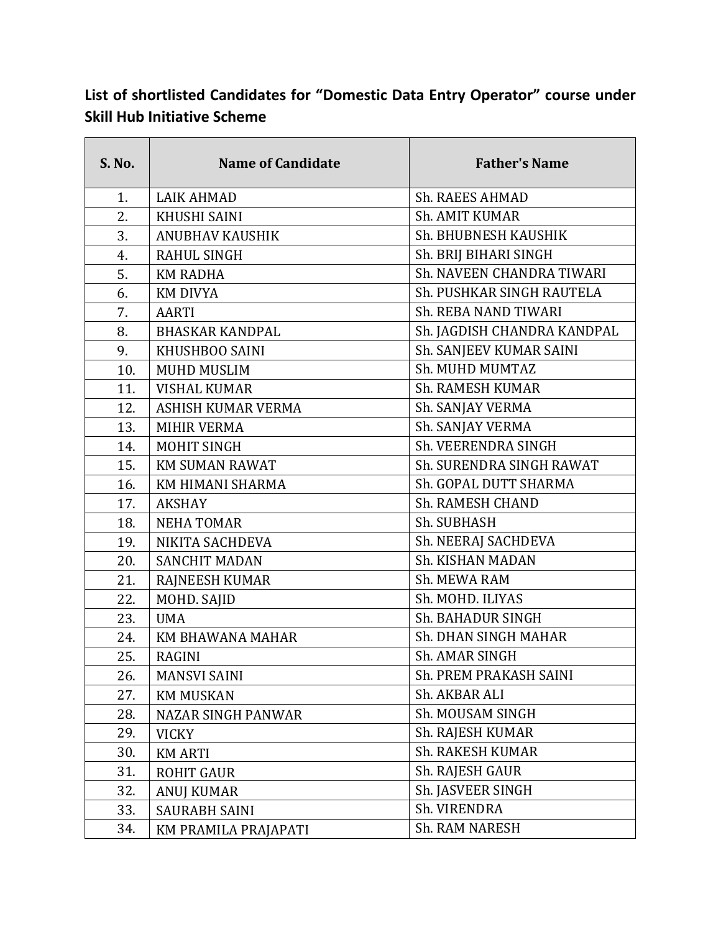## **List of shortlisted Candidates for "Domestic Data Entry Operator" course under Skill Hub Initiative Scheme**

| <b>S. No.</b> | <b>Name of Candidate</b>  | <b>Father's Name</b>        |
|---------------|---------------------------|-----------------------------|
| 1.            | <b>LAIK AHMAD</b>         | <b>Sh. RAEES AHMAD</b>      |
| 2.            | <b>KHUSHI SAINI</b>       | Sh. AMIT KUMAR              |
| 3.            | <b>ANUBHAV KAUSHIK</b>    | Sh. BHUBNESH KAUSHIK        |
| 4.            | <b>RAHUL SINGH</b>        | Sh. BRIJ BIHARI SINGH       |
| 5.            | <b>KM RADHA</b>           | Sh. NAVEEN CHANDRA TIWARI   |
| 6.            | <b>KM DIVYA</b>           | Sh. PUSHKAR SINGH RAUTELA   |
| 7.            | <b>AARTI</b>              | <b>Sh. REBA NAND TIWARI</b> |
| 8.            | <b>BHASKAR KANDPAL</b>    | Sh. JAGDISH CHANDRA KANDPAL |
| 9.            | KHUSHBOO SAINI            | Sh. SANJEEV KUMAR SAINI     |
| 10.           | <b>MUHD MUSLIM</b>        | Sh. MUHD MUMTAZ             |
| 11.           | <b>VISHAL KUMAR</b>       | <b>Sh. RAMESH KUMAR</b>     |
| 12.           | ASHISH KUMAR VERMA        | Sh. SANJAY VERMA            |
| 13.           | <b>MIHIR VERMA</b>        | Sh. SANJAY VERMA            |
| 14.           | <b>MOHIT SINGH</b>        | Sh. VEERENDRA SINGH         |
| 15.           | <b>KM SUMAN RAWAT</b>     | Sh. SURENDRA SINGH RAWAT    |
| 16.           | KM HIMANI SHARMA          | Sh. GOPAL DUTT SHARMA       |
| 17.           | <b>AKSHAY</b>             | <b>Sh. RAMESH CHAND</b>     |
| 18.           | <b>NEHA TOMAR</b>         | Sh. SUBHASH                 |
| 19.           | NIKITA SACHDEVA           | Sh. NEERAJ SACHDEVA         |
| 20.           | <b>SANCHIT MADAN</b>      | Sh. KISHAN MADAN            |
| 21.           | RAJNEESH KUMAR            | Sh. MEWA RAM                |
| 22.           | MOHD. SAJID               | Sh. MOHD. ILIYAS            |
| 23.           | <b>UMA</b>                | Sh. BAHADUR SINGH           |
| 24.           | KM BHAWANA MAHAR          | Sh. DHAN SINGH MAHAR        |
| 25.           | <b>RAGINI</b>             | Sh. AMAR SINGH              |
| 26.           | <b>MANSVI SAINI</b>       | Sh. PREM PRAKASH SAINI      |
| 27.           | <b>KM MUSKAN</b>          | Sh. AKBAR ALI               |
| 28.           | <b>NAZAR SINGH PANWAR</b> | Sh. MOUSAM SINGH            |
| 29.           | <b>VICKY</b>              | Sh. RAJESH KUMAR            |
| 30.           | <b>KM ARTI</b>            | <b>Sh. RAKESH KUMAR</b>     |
| 31.           | <b>ROHIT GAUR</b>         | Sh. RAJESH GAUR             |
| 32.           | <b>ANUJ KUMAR</b>         | Sh. JASVEER SINGH           |
| 33.           | <b>SAURABH SAINI</b>      | Sh. VIRENDRA                |
| 34.           | KM PRAMILA PRAJAPATI      | Sh. RAM NARESH              |